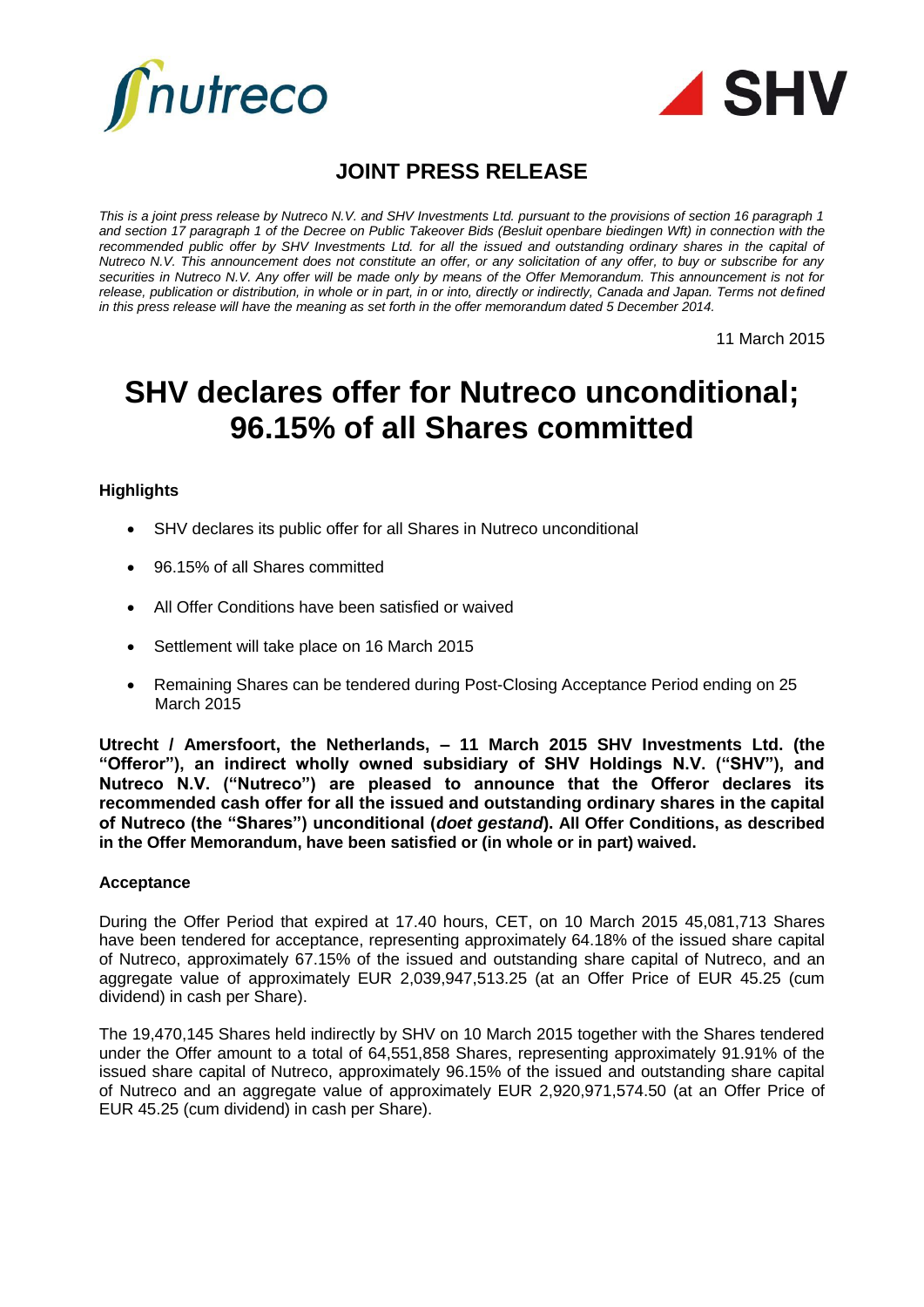



# **JOINT PRESS RELEASE**

*This is a joint press release by Nutreco N.V. and SHV Investments Ltd. pursuant to the provisions of section 16 paragraph 1 and section 17 paragraph 1 of the Decree on Public Takeover Bids (Besluit openbare biedingen Wft) in connection with the recommended public offer by SHV Investments Ltd. for all the issued and outstanding ordinary shares in the capital of Nutreco N.V. This announcement does not constitute an offer, or any solicitation of any offer, to buy or subscribe for any securities in Nutreco N.V. Any offer will be made only by means of the Offer Memorandum. This announcement is not for release, publication or distribution, in whole or in part, in or into, directly or indirectly, Canada and Japan. Terms not defined in this press release will have the meaning as set forth in the offer memorandum dated 5 December 2014.*

11 March 2015

# **SHV declares offer for Nutreco unconditional; 96.15% of all Shares committed**

# **Highlights**

- SHV declares its public offer for all Shares in Nutreco unconditional
- 96.15% of all Shares committed
- All Offer Conditions have been satisfied or waived
- Settlement will take place on 16 March 2015
- Remaining Shares can be tendered during Post-Closing Acceptance Period ending on 25 March 2015

**Utrecht / Amersfoort, the Netherlands, – 11 March 2015 SHV Investments Ltd. (the "Offeror"), an indirect wholly owned subsidiary of SHV Holdings N.V. ("SHV"), and**  Nutreco N.V. ("Nutreco") are pleased to announce that the Offeror declares its **recommended cash offer for all the issued and outstanding ordinary shares in the capital of Nutreco (the "Shares") unconditional (***doet gestand***). All Offer Conditions, as described in the Offer Memorandum, have been satisfied or (in whole or in part) waived.**

#### **Acceptance**

During the Offer Period that expired at 17.40 hours, CET, on 10 March 2015 45,081,713 Shares have been tendered for acceptance, representing approximately 64.18% of the issued share capital of Nutreco, approximately 67.15% of the issued and outstanding share capital of Nutreco, and an aggregate value of approximately EUR 2,039,947,513.25 (at an Offer Price of EUR 45.25 (cum dividend) in cash per Share).

The 19,470,145 Shares held indirectly by SHV on 10 March 2015 together with the Shares tendered under the Offer amount to a total of 64,551,858 Shares, representing approximately 91.91% of the issued share capital of Nutreco, approximately 96.15% of the issued and outstanding share capital of Nutreco and an aggregate value of approximately EUR 2,920,971,574.50 (at an Offer Price of EUR 45.25 (cum dividend) in cash per Share).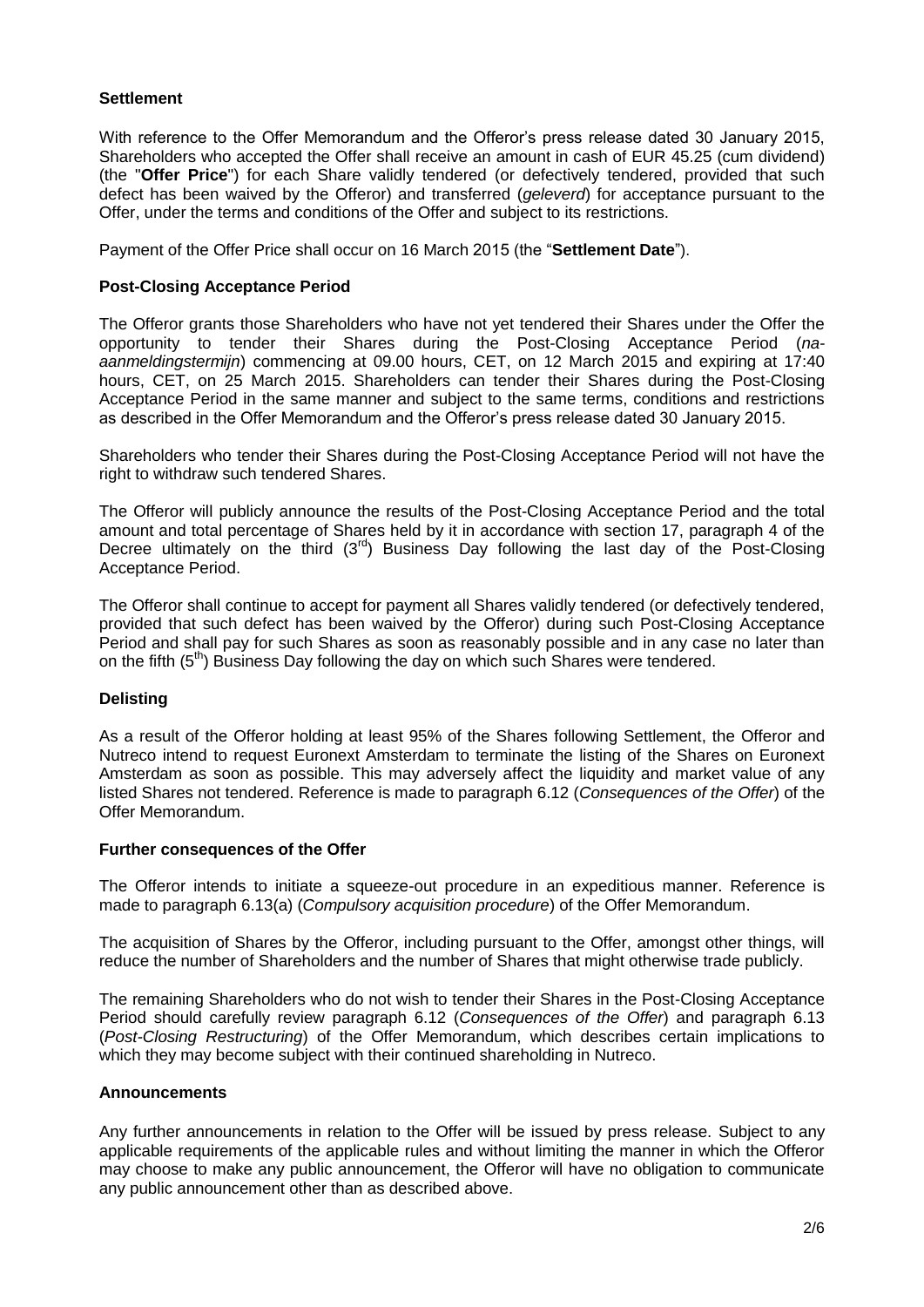# **Settlement**

With reference to the Offer Memorandum and the Offeror's press release dated 30 January 2015, Shareholders who accepted the Offer shall receive an amount in cash of EUR 45.25 (cum dividend) (the "**Offer Price**") for each Share validly tendered (or defectively tendered, provided that such defect has been waived by the Offeror) and transferred (*geleverd*) for acceptance pursuant to the Offer, under the terms and conditions of the Offer and subject to its restrictions.

Payment of the Offer Price shall occur on 16 March 2015 (the "**Settlement Date**").

# **Post-Closing Acceptance Period**

The Offeror grants those Shareholders who have not yet tendered their Shares under the Offer the opportunity to tender their Shares during the Post-Closing Acceptance Period (*naaanmeldingstermijn*) commencing at 09.00 hours, CET, on 12 March 2015 and expiring at 17:40 hours, CET, on 25 March 2015. Shareholders can tender their Shares during the Post-Closing Acceptance Period in the same manner and subject to the same terms, conditions and restrictions as described in the Offer Memorandum and the Offeror's press release dated 30 January 2015.

Shareholders who tender their Shares during the Post-Closing Acceptance Period will not have the right to withdraw such tendered Shares.

The Offeror will publicly announce the results of the Post-Closing Acceptance Period and the total amount and total percentage of Shares held by it in accordance with section 17, paragraph 4 of the Decree ultimately on the third  $(3<sup>rd</sup>)$  Business Day following the last day of the Post-Closing Acceptance Period.

The Offeror shall continue to accept for payment all Shares validly tendered (or defectively tendered, provided that such defect has been waived by the Offeror) during such Post-Closing Acceptance Period and shall pay for such Shares as soon as reasonably possible and in any case no later than on the fifth  $(5<sup>th</sup>)$  Business Day following the day on which such Shares were tendered.

#### **Delisting**

As a result of the Offeror holding at least 95% of the Shares following Settlement, the Offeror and Nutreco intend to request Euronext Amsterdam to terminate the listing of the Shares on Euronext Amsterdam as soon as possible. This may adversely affect the liquidity and market value of any listed Shares not tendered. Reference is made to paragraph 6.12 (*Consequences of the Offer*) of the Offer Memorandum.

#### **Further consequences of the Offer**

The Offeror intends to initiate a squeeze-out procedure in an expeditious manner. Reference is made to paragraph 6.13(a) (*Compulsory acquisition procedure*) of the Offer Memorandum.

The acquisition of Shares by the Offeror, including pursuant to the Offer, amongst other things, will reduce the number of Shareholders and the number of Shares that might otherwise trade publicly.

The remaining Shareholders who do not wish to tender their Shares in the Post-Closing Acceptance Period should carefully review paragraph 6.12 (*Consequences of the Offer*) and paragraph 6.13 (*Post-Closing Restructuring*) of the Offer Memorandum, which describes certain implications to which they may become subject with their continued shareholding in Nutreco.

#### **Announcements**

Any further announcements in relation to the Offer will be issued by press release. Subject to any applicable requirements of the applicable rules and without limiting the manner in which the Offeror may choose to make any public announcement, the Offeror will have no obligation to communicate any public announcement other than as described above.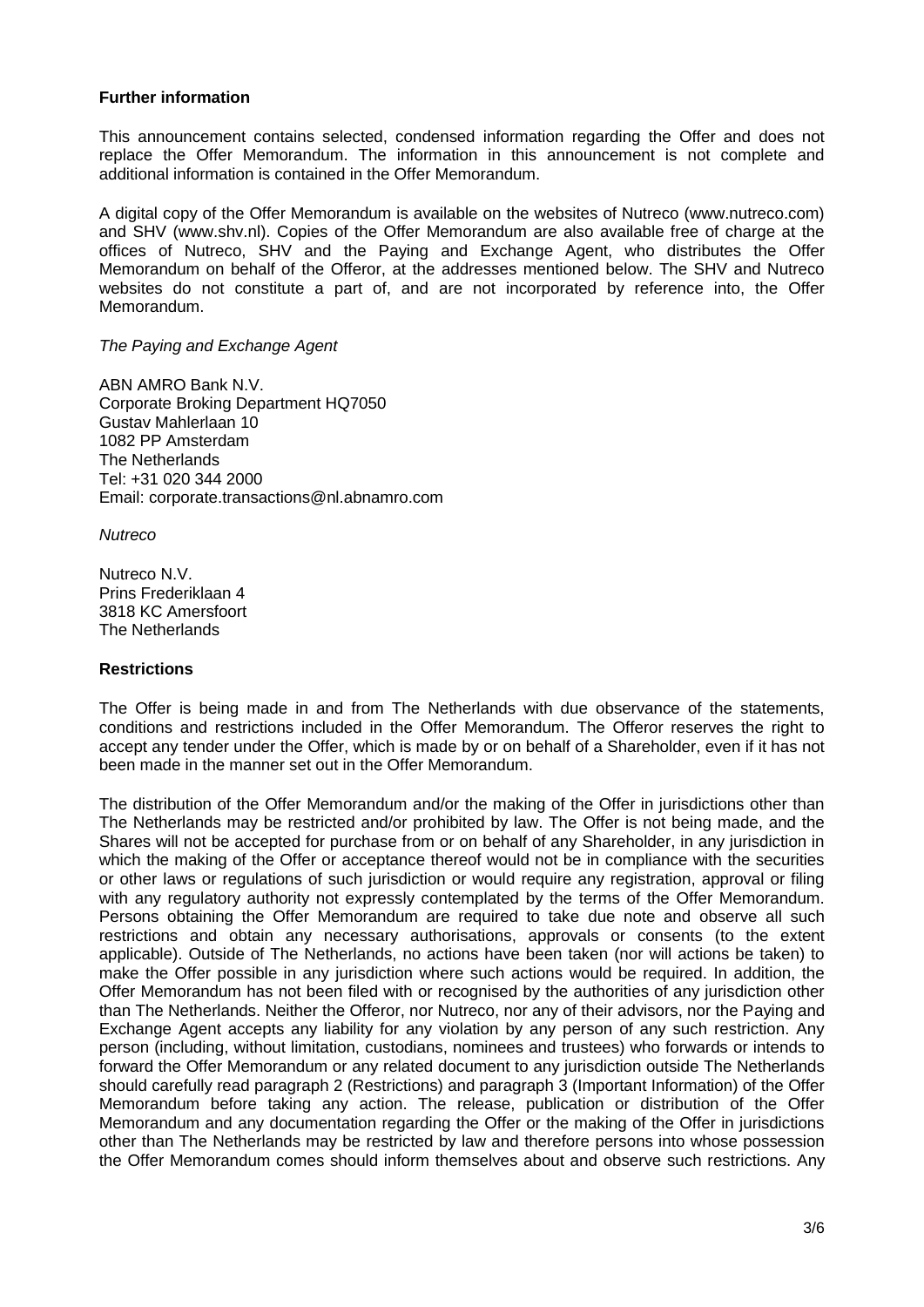## **Further information**

This announcement contains selected, condensed information regarding the Offer and does not replace the Offer Memorandum. The information in this announcement is not complete and additional information is contained in the Offer Memorandum.

A digital copy of the Offer Memorandum is available on the websites of Nutreco (www.nutreco.com) and SHV (www.shv.nl). Copies of the Offer Memorandum are also available free of charge at the offices of Nutreco, SHV and the Paying and Exchange Agent, who distributes the Offer Memorandum on behalf of the Offeror, at the addresses mentioned below. The SHV and Nutreco websites do not constitute a part of, and are not incorporated by reference into, the Offer Memorandum.

#### *The Paying and Exchange Agent*

ABN AMRO Bank N.V. Corporate Broking Department HQ7050 Gustav Mahlerlaan 10 1082 PP Amsterdam The Netherlands Tel: +31 020 344 2000 Email: corporate.transactions@nl.abnamro.com

#### *Nutreco*

Nutreco N.V. Prins Frederiklaan 4 3818 KC Amersfoort The Netherlands

#### **Restrictions**

The Offer is being made in and from The Netherlands with due observance of the statements, conditions and restrictions included in the Offer Memorandum. The Offeror reserves the right to accept any tender under the Offer, which is made by or on behalf of a Shareholder, even if it has not been made in the manner set out in the Offer Memorandum.

The distribution of the Offer Memorandum and/or the making of the Offer in jurisdictions other than The Netherlands may be restricted and/or prohibited by law. The Offer is not being made, and the Shares will not be accepted for purchase from or on behalf of any Shareholder, in any jurisdiction in which the making of the Offer or acceptance thereof would not be in compliance with the securities or other laws or regulations of such jurisdiction or would require any registration, approval or filing with any regulatory authority not expressly contemplated by the terms of the Offer Memorandum. Persons obtaining the Offer Memorandum are required to take due note and observe all such restrictions and obtain any necessary authorisations, approvals or consents (to the extent applicable). Outside of The Netherlands, no actions have been taken (nor will actions be taken) to make the Offer possible in any jurisdiction where such actions would be required. In addition, the Offer Memorandum has not been filed with or recognised by the authorities of any jurisdiction other than The Netherlands. Neither the Offeror, nor Nutreco, nor any of their advisors, nor the Paying and Exchange Agent accepts any liability for any violation by any person of any such restriction. Any person (including, without limitation, custodians, nominees and trustees) who forwards or intends to forward the Offer Memorandum or any related document to any jurisdiction outside The Netherlands should carefully read paragraph 2 (Restrictions) and paragraph 3 (Important Information) of the Offer Memorandum before taking any action. The release, publication or distribution of the Offer Memorandum and any documentation regarding the Offer or the making of the Offer in jurisdictions other than The Netherlands may be restricted by law and therefore persons into whose possession the Offer Memorandum comes should inform themselves about and observe such restrictions. Any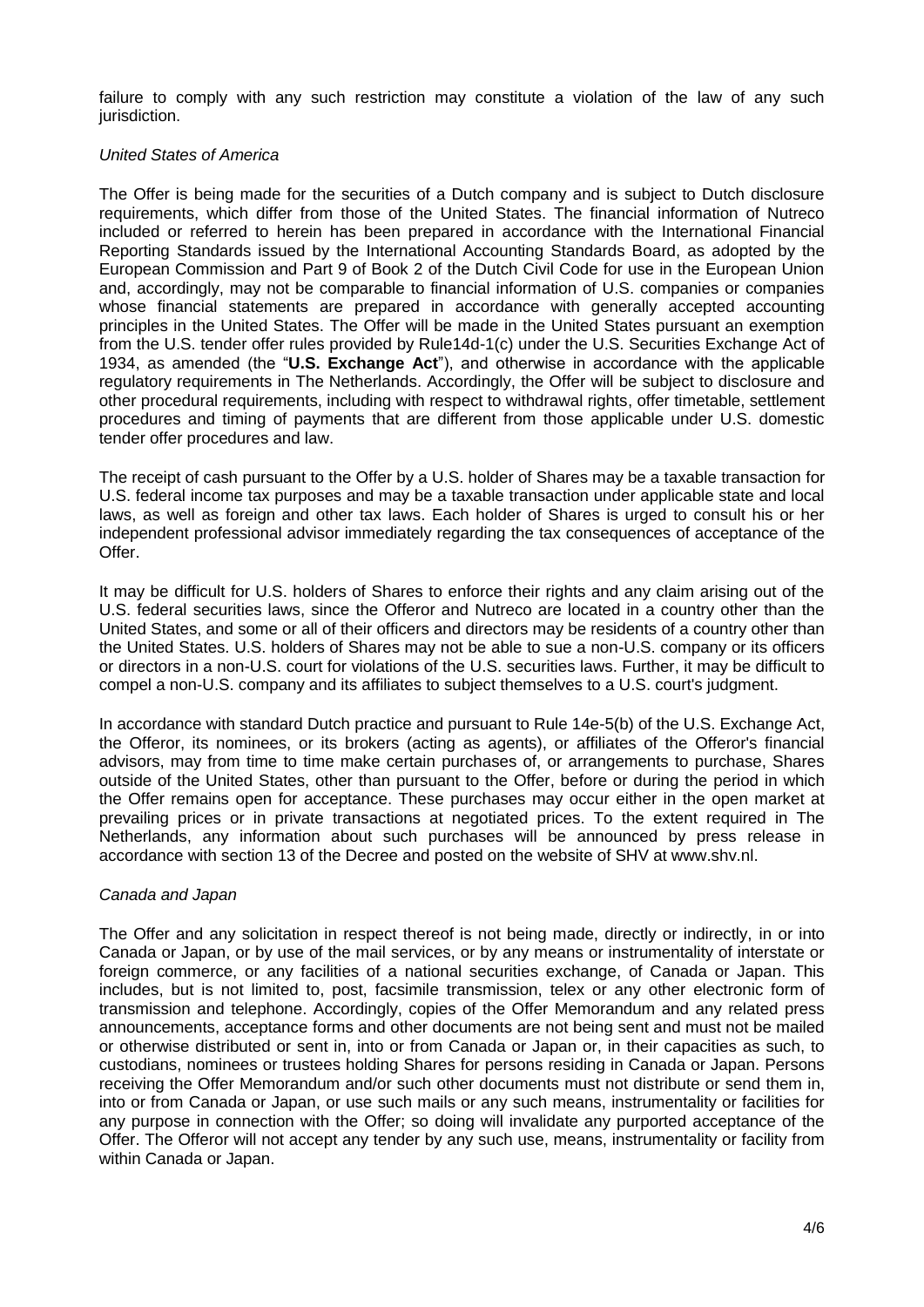failure to comply with any such restriction may constitute a violation of the law of any such jurisdiction.

## *United States of America*

The Offer is being made for the securities of a Dutch company and is subject to Dutch disclosure requirements, which differ from those of the United States. The financial information of Nutreco included or referred to herein has been prepared in accordance with the International Financial Reporting Standards issued by the International Accounting Standards Board, as adopted by the European Commission and Part 9 of Book 2 of the Dutch Civil Code for use in the European Union and, accordingly, may not be comparable to financial information of U.S. companies or companies whose financial statements are prepared in accordance with generally accepted accounting principles in the United States. The Offer will be made in the United States pursuant an exemption from the U.S. tender offer rules provided by Rule14d-1(c) under the U.S. Securities Exchange Act of 1934, as amended (the "**U.S. Exchange Act**"), and otherwise in accordance with the applicable regulatory requirements in The Netherlands. Accordingly, the Offer will be subject to disclosure and other procedural requirements, including with respect to withdrawal rights, offer timetable, settlement procedures and timing of payments that are different from those applicable under U.S. domestic tender offer procedures and law.

The receipt of cash pursuant to the Offer by a U.S. holder of Shares may be a taxable transaction for U.S. federal income tax purposes and may be a taxable transaction under applicable state and local laws, as well as foreign and other tax laws. Each holder of Shares is urged to consult his or her independent professional advisor immediately regarding the tax consequences of acceptance of the Offer.

It may be difficult for U.S. holders of Shares to enforce their rights and any claim arising out of the U.S. federal securities laws, since the Offeror and Nutreco are located in a country other than the United States, and some or all of their officers and directors may be residents of a country other than the United States. U.S. holders of Shares may not be able to sue a non-U.S. company or its officers or directors in a non-U.S. court for violations of the U.S. securities laws. Further, it may be difficult to compel a non-U.S. company and its affiliates to subject themselves to a U.S. court's judgment.

In accordance with standard Dutch practice and pursuant to Rule 14e-5(b) of the U.S. Exchange Act, the Offeror, its nominees, or its brokers (acting as agents), or affiliates of the Offeror's financial advisors, may from time to time make certain purchases of, or arrangements to purchase, Shares outside of the United States, other than pursuant to the Offer, before or during the period in which the Offer remains open for acceptance. These purchases may occur either in the open market at prevailing prices or in private transactions at negotiated prices. To the extent required in The Netherlands, any information about such purchases will be announced by press release in accordance with section 13 of the Decree and posted on the website of SHV at www.shv.nl.

#### *Canada and Japan*

The Offer and any solicitation in respect thereof is not being made, directly or indirectly, in or into Canada or Japan, or by use of the mail services, or by any means or instrumentality of interstate or foreign commerce, or any facilities of a national securities exchange, of Canada or Japan. This includes, but is not limited to, post, facsimile transmission, telex or any other electronic form of transmission and telephone. Accordingly, copies of the Offer Memorandum and any related press announcements, acceptance forms and other documents are not being sent and must not be mailed or otherwise distributed or sent in, into or from Canada or Japan or, in their capacities as such, to custodians, nominees or trustees holding Shares for persons residing in Canada or Japan. Persons receiving the Offer Memorandum and/or such other documents must not distribute or send them in, into or from Canada or Japan, or use such mails or any such means, instrumentality or facilities for any purpose in connection with the Offer; so doing will invalidate any purported acceptance of the Offer. The Offeror will not accept any tender by any such use, means, instrumentality or facility from within Canada or Japan.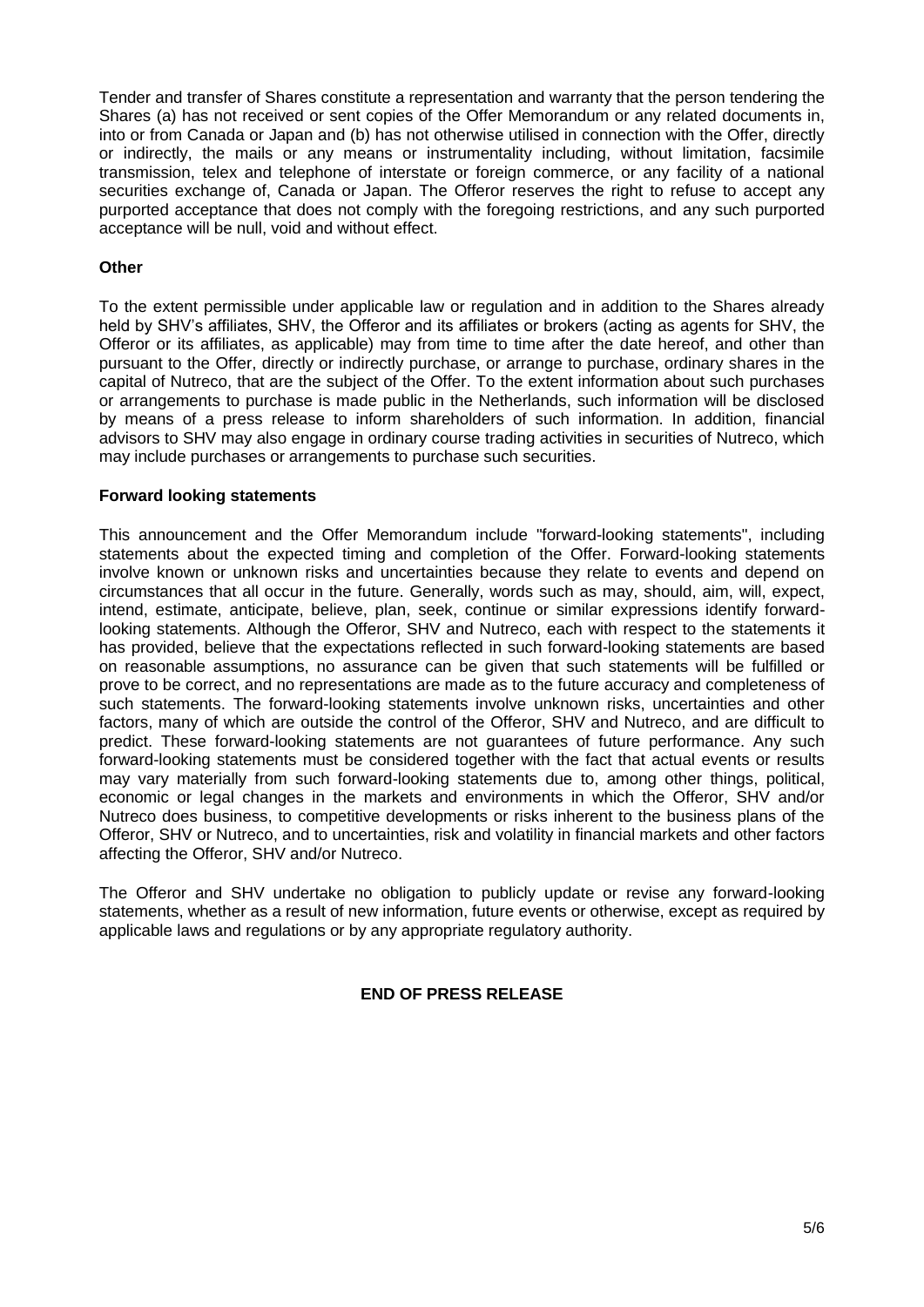Tender and transfer of Shares constitute a representation and warranty that the person tendering the Shares (a) has not received or sent copies of the Offer Memorandum or any related documents in, into or from Canada or Japan and (b) has not otherwise utilised in connection with the Offer, directly or indirectly, the mails or any means or instrumentality including, without limitation, facsimile transmission, telex and telephone of interstate or foreign commerce, or any facility of a national securities exchange of, Canada or Japan. The Offeror reserves the right to refuse to accept any purported acceptance that does not comply with the foregoing restrictions, and any such purported acceptance will be null, void and without effect.

# **Other**

To the extent permissible under applicable law or regulation and in addition to the Shares already held by SHV's affiliates, SHV, the Offeror and its affiliates or brokers (acting as agents for SHV, the Offeror or its affiliates, as applicable) may from time to time after the date hereof, and other than pursuant to the Offer, directly or indirectly purchase, or arrange to purchase, ordinary shares in the capital of Nutreco, that are the subject of the Offer. To the extent information about such purchases or arrangements to purchase is made public in the Netherlands, such information will be disclosed by means of a press release to inform shareholders of such information. In addition, financial advisors to SHV may also engage in ordinary course trading activities in securities of Nutreco, which may include purchases or arrangements to purchase such securities.

# **Forward looking statements**

This announcement and the Offer Memorandum include "forward-looking statements", including statements about the expected timing and completion of the Offer. Forward-looking statements involve known or unknown risks and uncertainties because they relate to events and depend on circumstances that all occur in the future. Generally, words such as may, should, aim, will, expect, intend, estimate, anticipate, believe, plan, seek, continue or similar expressions identify forwardlooking statements. Although the Offeror, SHV and Nutreco, each with respect to the statements it has provided, believe that the expectations reflected in such forward-looking statements are based on reasonable assumptions, no assurance can be given that such statements will be fulfilled or prove to be correct, and no representations are made as to the future accuracy and completeness of such statements. The forward-looking statements involve unknown risks, uncertainties and other factors, many of which are outside the control of the Offeror, SHV and Nutreco, and are difficult to predict. These forward-looking statements are not guarantees of future performance. Any such forward-looking statements must be considered together with the fact that actual events or results may vary materially from such forward-looking statements due to, among other things, political, economic or legal changes in the markets and environments in which the Offeror, SHV and/or Nutreco does business, to competitive developments or risks inherent to the business plans of the Offeror, SHV or Nutreco, and to uncertainties, risk and volatility in financial markets and other factors affecting the Offeror, SHV and/or Nutreco.

The Offeror and SHV undertake no obligation to publicly update or revise any forward-looking statements, whether as a result of new information, future events or otherwise, except as required by applicable laws and regulations or by any appropriate regulatory authority.

#### **END OF PRESS RELEASE**